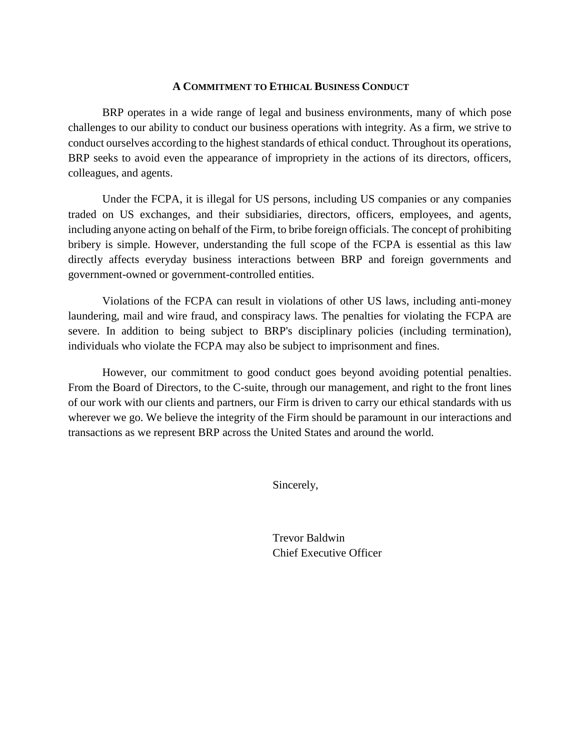#### **A COMMITMENT TO ETHICAL BUSINESS CONDUCT**

BRP operates in a wide range of legal and business environments, many of which pose challenges to our ability to conduct our business operations with integrity. As a firm, we strive to conduct ourselves according to the highest standards of ethical conduct. Throughout its operations, BRP seeks to avoid even the appearance of impropriety in the actions of its directors, officers, colleagues, and agents.

Under the FCPA, it is illegal for US persons, including US companies or any companies traded on US exchanges, and their subsidiaries, directors, officers, employees, and agents, including anyone acting on behalf of the Firm, to bribe foreign officials. The concept of prohibiting bribery is simple. However, understanding the full scope of the FCPA is essential as this law directly affects everyday business interactions between BRP and foreign governments and government-owned or government-controlled entities.

Violations of the FCPA can result in violations of other US laws, including anti-money laundering, mail and wire fraud, and conspiracy laws. The penalties for violating the FCPA are severe. In addition to being subject to BRP's disciplinary policies (including termination), individuals who violate the FCPA may also be subject to imprisonment and fines.

However, our commitment to good conduct goes beyond avoiding potential penalties. From the Board of Directors, to the C-suite, through our management, and right to the front lines of our work with our clients and partners, our Firm is driven to carry our ethical standards with us wherever we go. We believe the integrity of the Firm should be paramount in our interactions and transactions as we represent BRP across the United States and around the world.

Sincerely,

Trevor Baldwin Chief Executive Officer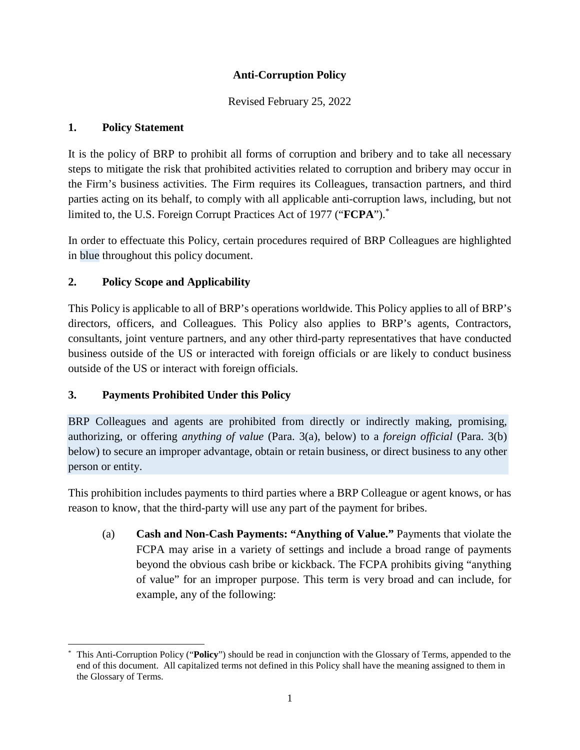### **Anti-Corruption Policy**

Revised February 25, 2022

#### **1. Policy Statement**

It is the policy of BRP to prohibit all forms of corruption and bribery and to take all necessary steps to mitigate the risk that prohibited activities related to corruption and bribery may occur in the Firm's business activities. The Firm requires its Colleagues, transaction partners, and third parties acting on its behalf, to comply with all applicable anti-corruption laws, including, but not limited to, the U.S. Foreign Corrupt Practices Act of 1977 ("**FCPA**").\*

In order to effectuate this Policy, certain procedures required of BRP Colleagues are highlighted in blue throughout this policy document.

### **2. Policy Scope and Applicability**

This Policy is applicable to all of BRP's operations worldwide. This Policy applies to all of BRP's directors, officers, and Colleagues. This Policy also applies to BRP's agents, Contractors, consultants, joint venture partners, and any other third-party representatives that have conducted business outside of the US or interacted with foreign officials or are likely to conduct business outside of the US or interact with foreign officials.

### **3. Payments Prohibited Under this Policy**

BRP Colleagues and agents are prohibited from directly or indirectly making, promising, authorizing, or offering *anything of value* (Para. 3(a), below) to a *foreign official* (Para. 3(b) below) to secure an improper advantage, obtain or retain business, or direct business to any other person or entity.

This prohibition includes payments to third parties where a BRP Colleague or agent knows, or has reason to know, that the third-party will use any part of the payment for bribes.

(a) **Cash and Non-Cash Payments: "Anything of Value."** Payments that violate the FCPA may arise in a variety of settings and include a broad range of payments beyond the obvious cash bribe or kickback. The FCPA prohibits giving "anything of value" for an improper purpose. This term is very broad and can include, for example, any of the following:

<sup>\*</sup> This Anti-Corruption Policy ("**Policy**") should be read in conjunction with the Glossary of Terms, appended to the end of this document. All capitalized terms not defined in this Policy shall have the meaning assigned to them in the Glossary of Terms.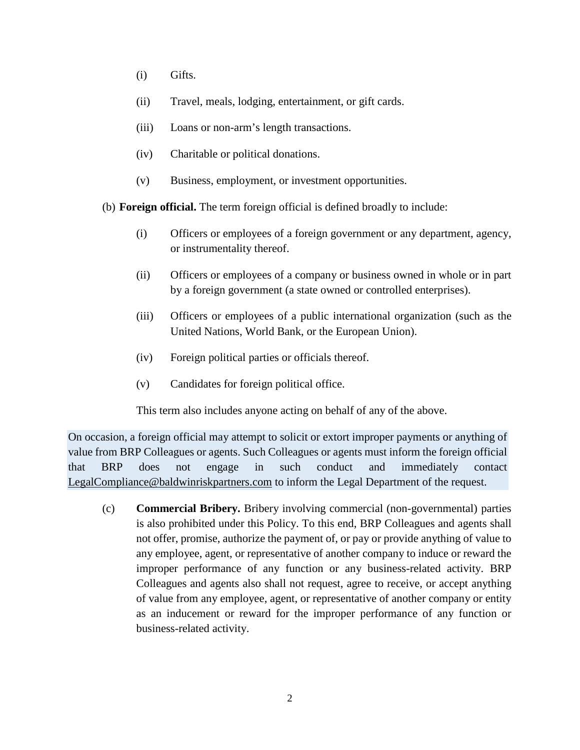- (i) Gifts.
- (ii) Travel, meals, lodging, entertainment, or gift cards.
- (iii) Loans or non-arm's length transactions.
- (iv) Charitable or political donations.
- (v) Business, employment, or investment opportunities.

(b) **Foreign official.** The term foreign official is defined broadly to include:

- (i) Officers or employees of a foreign government or any department, agency, or instrumentality thereof.
- (ii) Officers or employees of a company or business owned in whole or in part by a foreign government (a state owned or controlled enterprises).
- (iii) Officers or employees of a public international organization (such as the United Nations, World Bank, or the European Union).
- (iv) Foreign political parties or officials thereof.
- (v) Candidates for foreign political office.

This term also includes anyone acting on behalf of any of the above.

On occasion, a foreign official may attempt to solicit or extort improper payments or anything of value from BRP Colleagues or agents. Such Colleagues or agents must inform the foreign official that BRP does not engage in such conduct and immediately contact LegalCompliance@baldwinriskpartners.com to inform the Legal Department of the request.

(c) **Commercial Bribery.** Bribery involving commercial (non-governmental) parties is also prohibited under this Policy. To this end, BRP Colleagues and agents shall not offer, promise, authorize the payment of, or pay or provide anything of value to any employee, agent, or representative of another company to induce or reward the improper performance of any function or any business-related activity. BRP Colleagues and agents also shall not request, agree to receive, or accept anything of value from any employee, agent, or representative of another company or entity as an inducement or reward for the improper performance of any function or business-related activity.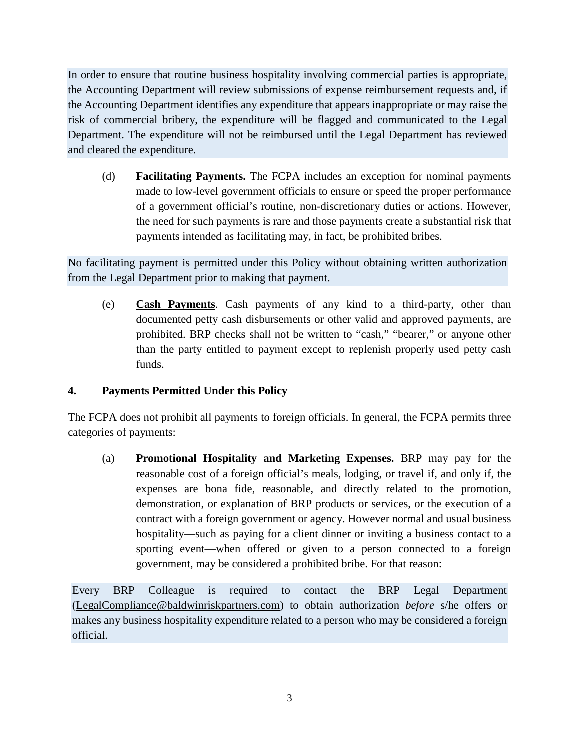In order to ensure that routine business hospitality involving commercial parties is appropriate, the Accounting Department will review submissions of expense reimbursement requests and, if the Accounting Department identifies any expenditure that appears inappropriate or may raise the risk of commercial bribery, the expenditure will be flagged and communicated to the Legal Department. The expenditure will not be reimbursed until the Legal Department has reviewed and cleared the expenditure.

(d) **Facilitating Payments.** The FCPA includes an exception for nominal payments made to low-level government officials to ensure or speed the proper performance of a government official's routine, non-discretionary duties or actions. However, the need for such payments is rare and those payments create a substantial risk that payments intended as facilitating may, in fact, be prohibited bribes.

No facilitating payment is permitted under this Policy without obtaining written authorization from the Legal Department prior to making that payment.

(e) **Cash Payments**. Cash payments of any kind to a third-party, other than documented petty cash disbursements or other valid and approved payments, are prohibited. BRP checks shall not be written to "cash," "bearer," or anyone other than the party entitled to payment except to replenish properly used petty cash funds.

### **4. Payments Permitted Under this Policy**

The FCPA does not prohibit all payments to foreign officials. In general, the FCPA permits three categories of payments:

(a) **Promotional Hospitality and Marketing Expenses.** BRP may pay for the reasonable cost of a foreign official's meals, lodging, or travel if, and only if, the expenses are bona fide, reasonable, and directly related to the promotion, demonstration, or explanation of BRP products or services, or the execution of a contract with a foreign government or agency. However normal and usual business hospitality—such as paying for a client dinner or inviting a business contact to a sporting event—when offered or given to a person connected to a foreign government, may be considered a prohibited bribe. For that reason:

Every BRP Colleague is required to contact the BRP Legal Department (LegalCompliance@baldwinriskpartners.com) to obtain authorization *before* s/he offers or makes any business hospitality expenditure related to a person who may be considered a foreign official.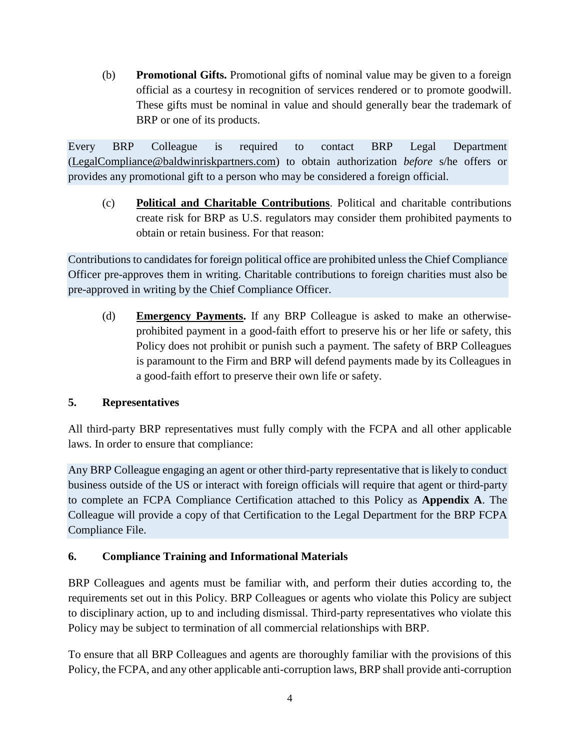(b) **Promotional Gifts.** Promotional gifts of nominal value may be given to a foreign official as a courtesy in recognition of services rendered or to promote goodwill. These gifts must be nominal in value and should generally bear the trademark of BRP or one of its products.

Every BRP Colleague is required to contact BRP Legal Department (LegalCompliance@baldwinriskpartners.com) to obtain authorization *before* s/he offers or provides any promotional gift to a person who may be considered a foreign official.

(c) **Political and Charitable Contributions**. Political and charitable contributions create risk for BRP as U.S. regulators may consider them prohibited payments to obtain or retain business. For that reason:

Contributions to candidates for foreign political office are prohibited unless the Chief Compliance Officer pre-approves them in writing. Charitable contributions to foreign charities must also be pre-approved in writing by the Chief Compliance Officer.

(d) **Emergency Payments.** If any BRP Colleague is asked to make an otherwiseprohibited payment in a good-faith effort to preserve his or her life or safety, this Policy does not prohibit or punish such a payment. The safety of BRP Colleagues is paramount to the Firm and BRP will defend payments made by its Colleagues in a good-faith effort to preserve their own life or safety.

### **5. Representatives**

All third-party BRP representatives must fully comply with the FCPA and all other applicable laws. In order to ensure that compliance:

Any BRP Colleague engaging an agent or other third-party representative that is likely to conduct business outside of the US or interact with foreign officials will require that agent or third-party to complete an FCPA Compliance Certification attached to this Policy as **Appendix A**. The Colleague will provide a copy of that Certification to the Legal Department for the BRP FCPA Compliance File.

### **6. Compliance Training and Informational Materials**

BRP Colleagues and agents must be familiar with, and perform their duties according to, the requirements set out in this Policy. BRP Colleagues or agents who violate this Policy are subject to disciplinary action, up to and including dismissal. Third-party representatives who violate this Policy may be subject to termination of all commercial relationships with BRP.

To ensure that all BRP Colleagues and agents are thoroughly familiar with the provisions of this Policy, the FCPA, and any other applicable anti-corruption laws, BRP shall provide anti-corruption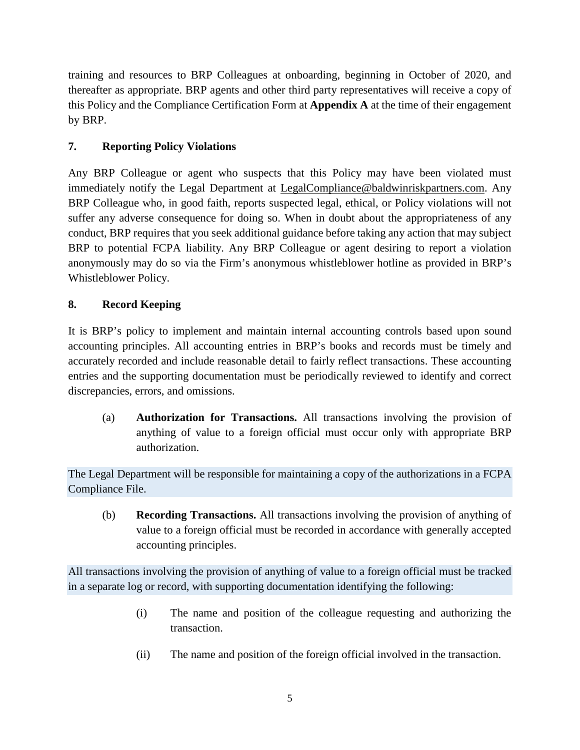training and resources to BRP Colleagues at onboarding, beginning in October of 2020, and thereafter as appropriate. BRP agents and other third party representatives will receive a copy of this Policy and the Compliance Certification Form at **Appendix A** at the time of their engagement by BRP.

## **7. Reporting Policy Violations**

Any BRP Colleague or agent who suspects that this Policy may have been violated must immediately notify the Legal Department at LegalCompliance@baldwinriskpartners.com. Any BRP Colleague who, in good faith, reports suspected legal, ethical, or Policy violations will not suffer any adverse consequence for doing so. When in doubt about the appropriateness of any conduct, BRP requires that you seek additional guidance before taking any action that may subject BRP to potential FCPA liability. Any BRP Colleague or agent desiring to report a violation anonymously may do so via the Firm's anonymous whistleblower hotline as provided in BRP's Whistleblower Policy.

## **8. Record Keeping**

It is BRP's policy to implement and maintain internal accounting controls based upon sound accounting principles. All accounting entries in BRP's books and records must be timely and accurately recorded and include reasonable detail to fairly reflect transactions. These accounting entries and the supporting documentation must be periodically reviewed to identify and correct discrepancies, errors, and omissions.

(a) **Authorization for Transactions.** All transactions involving the provision of anything of value to a foreign official must occur only with appropriate BRP authorization.

The Legal Department will be responsible for maintaining a copy of the authorizations in a FCPA Compliance File.

(b) **Recording Transactions.** All transactions involving the provision of anything of value to a foreign official must be recorded in accordance with generally accepted accounting principles.

All transactions involving the provision of anything of value to a foreign official must be tracked in a separate log or record, with supporting documentation identifying the following:

- (i) The name and position of the colleague requesting and authorizing the transaction.
- (ii) The name and position of the foreign official involved in the transaction.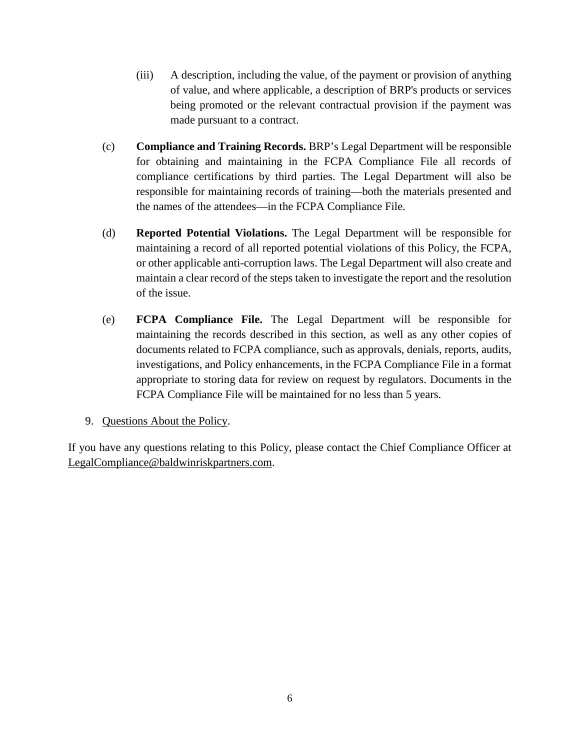- (iii) A description, including the value, of the payment or provision of anything of value, and where applicable, a description of BRP's products or services being promoted or the relevant contractual provision if the payment was made pursuant to a contract.
- (c) **Compliance and Training Records.** BRP's Legal Department will be responsible for obtaining and maintaining in the FCPA Compliance File all records of compliance certifications by third parties. The Legal Department will also be responsible for maintaining records of training—both the materials presented and the names of the attendees—in the FCPA Compliance File.
- (d) **Reported Potential Violations.** The Legal Department will be responsible for maintaining a record of all reported potential violations of this Policy, the FCPA, or other applicable anti-corruption laws. The Legal Department will also create and maintain a clear record of the steps taken to investigate the report and the resolution of the issue.
- (e) **FCPA Compliance File.** The Legal Department will be responsible for maintaining the records described in this section, as well as any other copies of documents related to FCPA compliance, such as approvals, denials, reports, audits, investigations, and Policy enhancements, in the FCPA Compliance File in a format appropriate to storing data for review on request by regulators. Documents in the FCPA Compliance File will be maintained for no less than 5 years.
- 9. Questions About the Policy.

If you have any questions relating to this Policy, please contact the Chief Compliance Officer at LegalCompliance@baldwinriskpartners.com.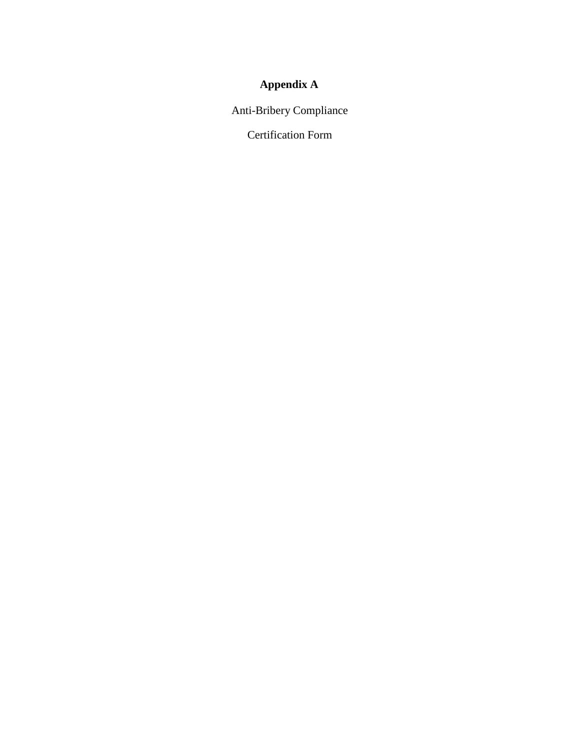# **Appendix A**

Anti-Bribery Compliance

Certification Form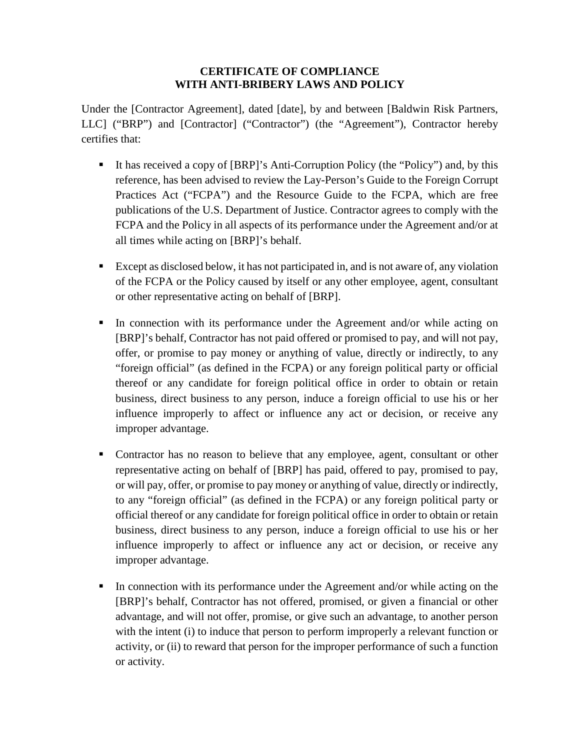#### **CERTIFICATE OF COMPLIANCE WITH ANTI-BRIBERY LAWS AND POLICY**

Under the [Contractor Agreement], dated [date], by and between [Baldwin Risk Partners, LLC] ("BRP") and [Contractor] ("Contractor") (the "Agreement"), Contractor hereby certifies that:

- It has received a copy of [BRP]'s Anti-Corruption Policy (the "Policy") and, by this reference, has been advised to review the Lay-Person's Guide to the Foreign Corrupt Practices Act ("FCPA") and the Resource Guide to the FCPA, which are free publications of the U.S. Department of Justice. Contractor agrees to comply with the FCPA and the Policy in all aspects of its performance under the Agreement and/or at all times while acting on [BRP]'s behalf.
- Except as disclosed below, it has not participated in, and is not aware of, any violation of the FCPA or the Policy caused by itself or any other employee, agent, consultant or other representative acting on behalf of [BRP].
- In connection with its performance under the Agreement and/or while acting on [BRP]'s behalf, Contractor has not paid offered or promised to pay, and will not pay, offer, or promise to pay money or anything of value, directly or indirectly, to any "foreign official" (as defined in the FCPA) or any foreign political party or official thereof or any candidate for foreign political office in order to obtain or retain business, direct business to any person, induce a foreign official to use his or her influence improperly to affect or influence any act or decision, or receive any improper advantage.
- Contractor has no reason to believe that any employee, agent, consultant or other representative acting on behalf of [BRP] has paid, offered to pay, promised to pay, or will pay, offer, or promise to pay money or anything of value, directly or indirectly, to any "foreign official" (as defined in the FCPA) or any foreign political party or official thereof or any candidate for foreign political office in order to obtain or retain business, direct business to any person, induce a foreign official to use his or her influence improperly to affect or influence any act or decision, or receive any improper advantage.
- In connection with its performance under the Agreement and/or while acting on the [BRP]'s behalf, Contractor has not offered, promised, or given a financial or other advantage, and will not offer, promise, or give such an advantage, to another person with the intent (i) to induce that person to perform improperly a relevant function or activity, or (ii) to reward that person for the improper performance of such a function or activity.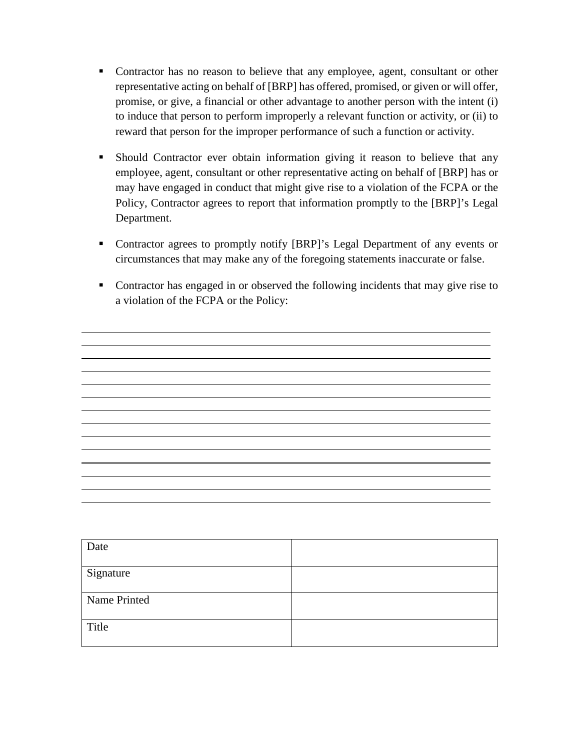- Contractor has no reason to believe that any employee, agent, consultant or other representative acting on behalf of [BRP] has offered, promised, or given or will offer, promise, or give, a financial or other advantage to another person with the intent (i) to induce that person to perform improperly a relevant function or activity, or (ii) to reward that person for the improper performance of such a function or activity.
- Should Contractor ever obtain information giving it reason to believe that any employee, agent, consultant or other representative acting on behalf of [BRP] has or may have engaged in conduct that might give rise to a violation of the FCPA or the Policy, Contractor agrees to report that information promptly to the [BRP]'s Legal Department.
- Contractor agrees to promptly notify [BRP]'s Legal Department of any events or circumstances that may make any of the foregoing statements inaccurate or false.
- Contractor has engaged in or observed the following incidents that may give rise to a violation of the FCPA or the Policy:

| Date         |  |
|--------------|--|
| Signature    |  |
| Name Printed |  |
| Title        |  |